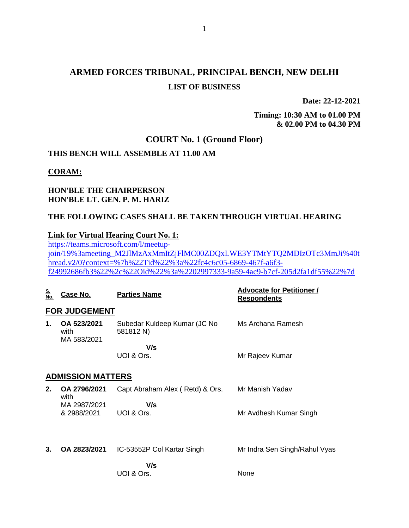# **ARMED FORCES TRIBUNAL, PRINCIPAL BENCH, NEW DELHI LIST OF BUSINESS**

**Date: 22-12-2021**

**Timing: 10:30 AM to 01.00 PM & 02.00 PM to 04.30 PM**

## **COURT No. 1 (Ground Floor)**

#### **THIS BENCH WILL ASSEMBLE AT 11.00 AM**

#### **CORAM:**

#### **HON'BLE THE CHAIRPERSON HON'BLE LT. GEN. P. M. HARIZ**

## **THE FOLLOWING CASES SHALL BE TAKEN THROUGH VIRTUAL HEARING**

## **Link for Virtual Hearing Court No. 1:**

[https://teams.microsoft.com/l/meetup](https://teams.microsoft.com/l/meetup-join/19%3ameeting_M2JlMzAxMmItZjFlMC00ZDQxLWE3YTMtYTQ2MDIzOTc3MmJi%40thread.v2/0?context=%7b%22Tid%22%3a%22fc4c6c05-6869-467f-a6f3-f24992686fb3%22%2c%22Oid%22%3a%2202997333-9a59-4ac9-b7cf-205d2fa1df55%22%7d)[join/19%3ameeting\\_M2JlMzAxMmItZjFlMC00ZDQxLWE3YTMtYTQ2MDIzOTc3MmJi%40t](https://teams.microsoft.com/l/meetup-join/19%3ameeting_M2JlMzAxMmItZjFlMC00ZDQxLWE3YTMtYTQ2MDIzOTc3MmJi%40thread.v2/0?context=%7b%22Tid%22%3a%22fc4c6c05-6869-467f-a6f3-f24992686fb3%22%2c%22Oid%22%3a%2202997333-9a59-4ac9-b7cf-205d2fa1df55%22%7d) [hread.v2/0?context=%7b%22Tid%22%3a%22fc4c6c05-6869-467f-a6f3](https://teams.microsoft.com/l/meetup-join/19%3ameeting_M2JlMzAxMmItZjFlMC00ZDQxLWE3YTMtYTQ2MDIzOTc3MmJi%40thread.v2/0?context=%7b%22Tid%22%3a%22fc4c6c05-6869-467f-a6f3-f24992686fb3%22%2c%22Oid%22%3a%2202997333-9a59-4ac9-b7cf-205d2fa1df55%22%7d) [f24992686fb3%22%2c%22Oid%22%3a%2202997333-9a59-4ac9-b7cf-205d2fa1df55%22%7d](https://teams.microsoft.com/l/meetup-join/19%3ameeting_M2JlMzAxMmItZjFlMC00ZDQxLWE3YTMtYTQ2MDIzOTc3MmJi%40thread.v2/0?context=%7b%22Tid%22%3a%22fc4c6c05-6869-467f-a6f3-f24992686fb3%22%2c%22Oid%22%3a%2202997333-9a59-4ac9-b7cf-205d2fa1df55%22%7d)

| <u>S.</u><br>No. | Case No.                           | <b>Parties Name</b>                       | <b>Advocate for Petitioner /</b><br><b>Respondents</b> |  |  |
|------------------|------------------------------------|-------------------------------------------|--------------------------------------------------------|--|--|
|                  | <b>FOR JUDGEMENT</b>               |                                           |                                                        |  |  |
| 1.               | OA 523/2021<br>with<br>MA 583/2021 | Subedar Kuldeep Kumar (JC No<br>581812 N) | Ms Archana Ramesh                                      |  |  |
|                  |                                    | V/s<br>UOI & Ors.                         | Mr Rajeev Kumar                                        |  |  |
|                  | <b>ADMISSION MATTERS</b>           |                                           |                                                        |  |  |
| 2.               | OA 2796/2021<br>with               | Capt Abraham Alex (Retd) & Ors.<br>V/s    | Mr Manish Yadav                                        |  |  |
|                  | MA 2987/2021<br>& 2988/2021        | UOI & Ors.                                | Mr Avdhesh Kumar Singh                                 |  |  |
|                  |                                    |                                           |                                                        |  |  |
| 3.               | OA 2823/2021                       | IC-53552P Col Kartar Singh                | Mr Indra Sen Singh/Rahul Vyas                          |  |  |
|                  |                                    | V/s<br>UOI & Ors.                         | None                                                   |  |  |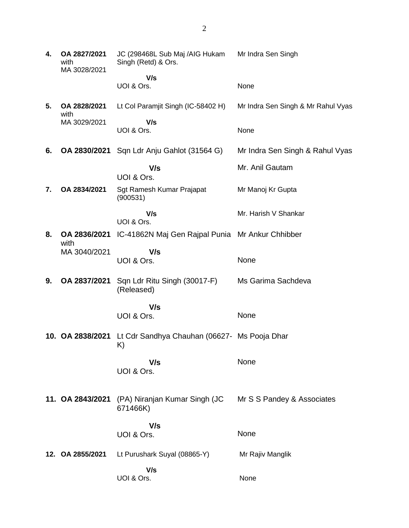| 4. | OA 2827/2021<br>with<br>MA 3028/2021 | JC (298468L Sub Maj /AIG Hukam<br>Singh (Retd) & Ors. | Mr Indra Sen Singh                 |
|----|--------------------------------------|-------------------------------------------------------|------------------------------------|
|    |                                      | V/s<br>UOI & Ors.                                     | None                               |
| 5. | OA 2828/2021<br>with                 | Lt Col Paramjit Singh (IC-58402 H)                    | Mr Indra Sen Singh & Mr Rahul Vyas |
|    | MA 3029/2021                         | V/s<br>UOI & Ors.                                     | None                               |
| 6. | OA 2830/2021                         | Sqn Ldr Anju Gahlot (31564 G)                         | Mr Indra Sen Singh & Rahul Vyas    |
|    |                                      | V/s<br>UOI & Ors.                                     | Mr. Anil Gautam                    |
| 7. | OA 2834/2021                         | Sgt Ramesh Kumar Prajapat<br>(900531)                 | Mr Manoj Kr Gupta                  |
|    |                                      | V/s<br>UOI & Ors.                                     | Mr. Harish V Shankar               |
| 8. | OA 2836/2021<br>with                 | IC-41862N Maj Gen Rajpal Punia Mr Ankur Chhibber      |                                    |
|    | MA 3040/2021                         | V/s<br>UOI & Ors.                                     | None                               |
| 9. | OA 2837/2021                         | Sqn Ldr Ritu Singh (30017-F)<br>(Released)            | Ms Garima Sachdeva                 |
|    |                                      | V/s<br>UOI & Ors.                                     | None                               |
|    | 10. OA 2838/2021                     | Lt Cdr Sandhya Chauhan (06627- Ms Pooja Dhar<br>K)    |                                    |
|    |                                      | V/s<br>UOI & Ors.                                     | None                               |
|    | 11. OA 2843/2021                     | (PA) Niranjan Kumar Singh (JC<br>671466K)             | Mr S S Pandey & Associates         |
|    |                                      | V/s<br>UOI & Ors.                                     | None                               |
|    |                                      |                                                       |                                    |
|    | 12. OA 2855/2021                     | Lt Purushark Suyal (08865-Y)                          | Mr Rajiv Manglik                   |
|    |                                      | V/s<br>UOI & Ors.                                     | None                               |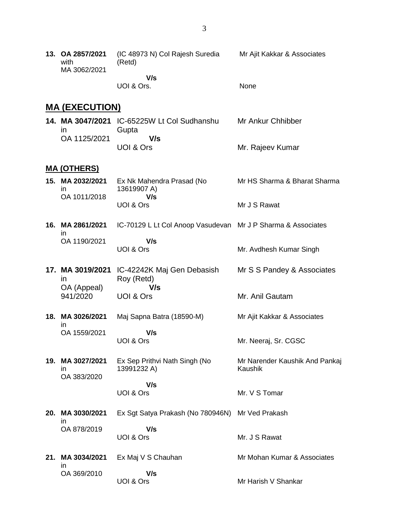|  | 13. OA 2857/2021<br>with<br>MA 3062/2021 | (IC 48973 N) Col Rajesh Suredia<br>(Retd) | Mr Ajit Kakkar & Associates |
|--|------------------------------------------|-------------------------------------------|-----------------------------|
|  |                                          | V/s                                       |                             |
|  |                                          | UOI & Ors.                                | <b>None</b>                 |

## **MA (EXECUTION)**

|              | 14. MA 3047/2021 IC-65225W Lt Col Sudhanshu | Mr Ankur Chhibber |
|--------------|---------------------------------------------|-------------------|
| $\mathsf{I}$ | Gupta                                       |                   |
| OA 1125/2021 | V/s                                         |                   |
|              | UOI & Ors                                   | Mr. Rajeev Kumar  |

#### **MA (OTHERS)**

| 15. MA 2032/2021<br>$\mathsf{I}$ | Ex Nk Mahendra Prasad (No<br>13619907 A)<br>V/s | Mr HS Sharma & Bharat Sharma |
|----------------------------------|-------------------------------------------------|------------------------------|
| OA 1011/2018                     | UOI & Ors                                       | Mr J S Rawat                 |

- **16. MA 2861/2021** in OA 1190/2021 IC-70129 L Lt Col Anoop Vasudevan Mr J P Sharma & Associates  **V/s** UOI & Ors Mr. Avdhesh Kumar Singh
- **17. MA 3019/2021** IC-42242K Maj Gen Debasish in OA (Appeal) 941/2020 Roy (Retd)  **V/s** UOI & Ors Mr S S Pandey & Associates Mr. Anil Gautam
- **18. MA 3026/2021** in OA 1559/2021 Maj Sapna Batra (18590-M)  **V/s** Mr Ajit Kakkar & Associates

Mr. Neeraj, Sr. CGSC

Mr. V S Tomar

UOI & Ors

- **19. MA 3027/2021** in OA 383/2020 Ex Sep Prithvi Nath Singh (No 13991232 A)  **V/s** Mr Narender Kaushik And Pankaj Kaushik
	- UOI & Ors
- **20. MA 3030/2021** in OA 878/2019 Ex Sgt Satya Prakash (No 780946N) Mr Ved Prakash  **V/s** UOI & Ors Mr. J S Rawat
- **21. MA 3034/2021** in OA 369/2010 Ex Maj V S Chauhan  **V/s** UOI & Ors Mr Mohan Kumar & Associates Mr Harish V Shankar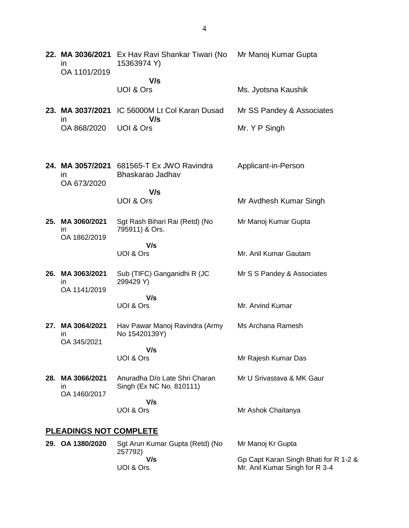| 22. MA 3036/2021<br>in.<br>OA 1101/2019          | Ex Hav Ravi Shankar Tiwari (No<br>15363974 Y)             | Mr Manoj Kumar Gupta                                                    |  |  |
|--------------------------------------------------|-----------------------------------------------------------|-------------------------------------------------------------------------|--|--|
|                                                  | V/s                                                       |                                                                         |  |  |
|                                                  | UOI & Ors                                                 | Ms. Jyotsna Kaushik                                                     |  |  |
| 23. MA 3037/2021<br>in.                          | IC 56000M Lt Col Karan Dusad<br>V/s                       | Mr SS Pandey & Associates                                               |  |  |
| OA 868/2020                                      | UOI & Ors                                                 | Mr. Y P Singh                                                           |  |  |
| 24. MA 3057/2021<br><i>in</i><br>OA 673/2020     | 681565-T Ex JWO Ravindra<br>Bhaskarao Jadhav              | Applicant-in-Person                                                     |  |  |
|                                                  | V/s<br>UOI & Ors                                          | Mr Avdhesh Kumar Singh                                                  |  |  |
| 25. MA 3060/2021<br>$\mathsf{I}$<br>OA 1862/2019 | Sgt Rash Bihari Rai (Retd) (No<br>795911) & Ors.          | Mr Manoj Kumar Gupta                                                    |  |  |
|                                                  | V/s<br>UOI & Ors                                          | Mr. Anil Kumar Gautam                                                   |  |  |
| 26. MA 3063/2021<br>in<br>OA 1141/2019           | Sub (TIFC) Ganganidhi R (JC<br>299429 Y)                  | Mr S S Pandey & Associates                                              |  |  |
|                                                  | V/s<br>UOI & Ors                                          | Mr. Arvind Kumar                                                        |  |  |
| 27. MA 3064/2021<br>ın<br>OA 345/2021            | Hav Pawar Manoj Ravindra (Army<br>No 15420139Y)           | Ms Archana Ramesh                                                       |  |  |
|                                                  | V/s<br>UOI & Ors                                          | Mr Rajesh Kumar Das                                                     |  |  |
| 28. MA 3066/2021<br>ın<br>OA 1460/2017           | Anuradha D/o Late Shri Charan<br>Singh (Ex NC No. 810111) | Mr U Srivastava & MK Gaur                                               |  |  |
|                                                  | V/s<br>UOI & Ors                                          | Mr Ashok Chaitanya                                                      |  |  |
| <b>PLEADINGS NOT COMPLETE</b>                    |                                                           |                                                                         |  |  |
| 29. OA 1380/2020                                 | Sgt Arun Kumar Gupta (Retd) (No<br>257792)                | Mr Manoj Kr Gupta                                                       |  |  |
|                                                  | V/s<br>UOI & Ors.                                         | Gp Capt Karan Singh Bhati for R 1-2 &<br>Mr. Anil Kumar Singh for R 3-4 |  |  |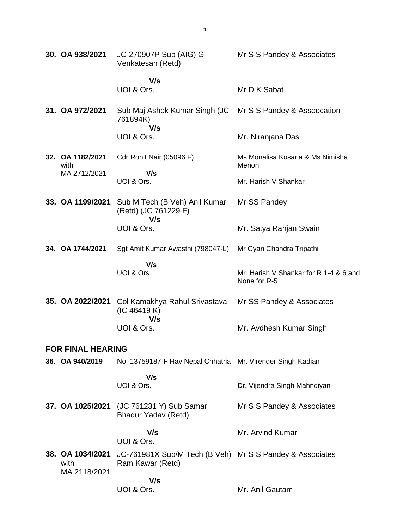| 30. OA 938/2021                          | JC-270907P Sub (AIG) G<br>Venkatesan (Retd)                                  | Mr S S Pandey & Associates                             |
|------------------------------------------|------------------------------------------------------------------------------|--------------------------------------------------------|
|                                          | V/s                                                                          |                                                        |
|                                          | UOI & Ors.                                                                   | Mr D K Sabat                                           |
| 31. OA 972/2021                          | Sub Maj Ashok Kumar Singh (JC<br>761894K)<br>V/s                             | Mr S S Pandey & Assoccation                            |
|                                          | UOI & Ors.                                                                   | Mr. Niranjana Das                                      |
| 32. OA 1182/2021<br>with                 | Cdr Rohit Nair (05096 F)                                                     | Ms Monalisa Kosaria & Ms Nimisha<br>Menon              |
| MA 2712/2021                             | V/s                                                                          |                                                        |
|                                          | UOI & Ors.                                                                   | Mr. Harish V Shankar                                   |
| 33. OA 1199/2021                         | Sub M Tech (B Veh) Anil Kumar<br>(Retd) (JC 761229 F)<br>V/s                 | Mr SS Pandey                                           |
|                                          | UOI & Ors.                                                                   | Mr. Satya Ranjan Swain                                 |
| 34. OA 1744/2021                         | Sgt Amit Kumar Awasthi (798047-L)                                            | Mr Gyan Chandra Tripathi                               |
|                                          | V/s<br>UOI & Ors.                                                            | Mr. Harish V Shankar for R 1-4 & 6 and<br>None for R-5 |
| 35. OA 2022/2021                         | Col Kamakhya Rahul Srivastava<br>(IC 46419 K)<br>V/s                         | Mr SS Pandey & Associates                              |
|                                          | UOI & Ors.                                                                   | Mr. Avdhesh Kumar Singh                                |
| <b>FOR FINAL HEARING</b>                 |                                                                              |                                                        |
| 36. OA 940/2019                          | No. 13759187-F Hav Nepal Chhatria Mr. Virender Singh Kadian                  |                                                        |
|                                          | V/s<br>UOI & Ors.                                                            | Dr. Vijendra Singh Mahndiyan                           |
| 37. OA 1025/2021                         | (JC 761231 Y) Sub Samar<br>Bhadur Yadav (Retd)                               | Mr S S Pandey & Associates                             |
|                                          | V/s<br>UOI & Ors.                                                            | Mr. Arvind Kumar                                       |
| 38. OA 1034/2021<br>with<br>MA 2118/2021 | JC-761981X Sub/M Tech (B Veh) Mr S S Pandey & Associates<br>Ram Kawar (Retd) |                                                        |
|                                          | V/s                                                                          |                                                        |
|                                          | UOI & Ors.                                                                   | Mr. Anil Gautam                                        |